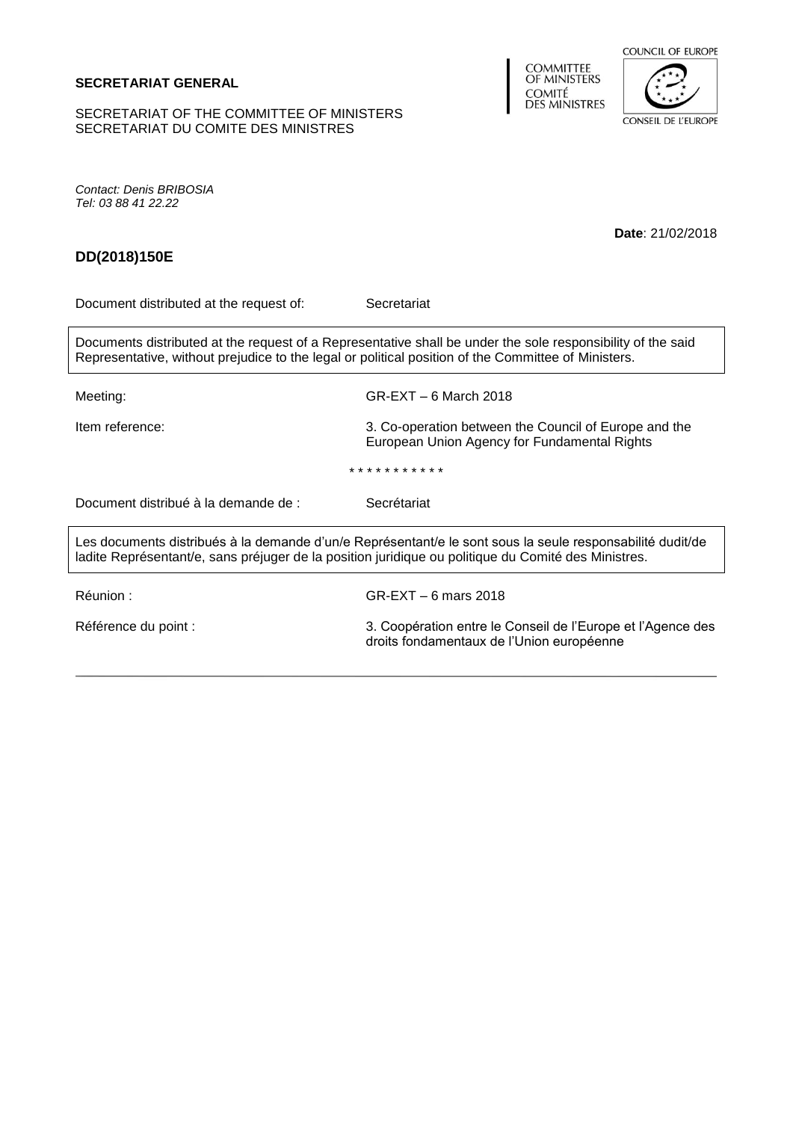#### **SECRETARIAT GENERAL**

SECRETARIAT OF THE COMMITTEE OF MINISTERS SECRETARIAT DU COMITE DES MINISTRES

*Contact: Denis BRIBOSIA Tel: 03 88 41 22.22*

## **DD(2018)150E**

Document distributed at the request of: Secretariat Documents distributed at the request of a Representative shall be under the sole responsibility of the said Representative, without prejudice to the legal or political position of the Committee of Ministers. Meeting: GR-EXT – 6 March 2018 Item reference: 3. Co-operation between the Council of Europe and the European Union Agency for Fundamental Rights \* \* \* \* \* \* \* \* \* \* \* Document distribué à la demande de :<br>
Secrétariat Les documents distribués à la demande d'un/e Représentant/e le sont sous la seule responsabilité dudit/de ladite Représentant/e, sans préjuger de la position juridique ou politique du Comité des Ministres. Réunion : GR-EXT – 6 mars 2018 Référence du point : 3. Coopération entre le Conseil de l'Europe et l'Agence des droits fondamentaux de l'Union européenne



**COMMITTEE** OF MINISTERS **COMITÉ** 



**Date**: 21/02/2018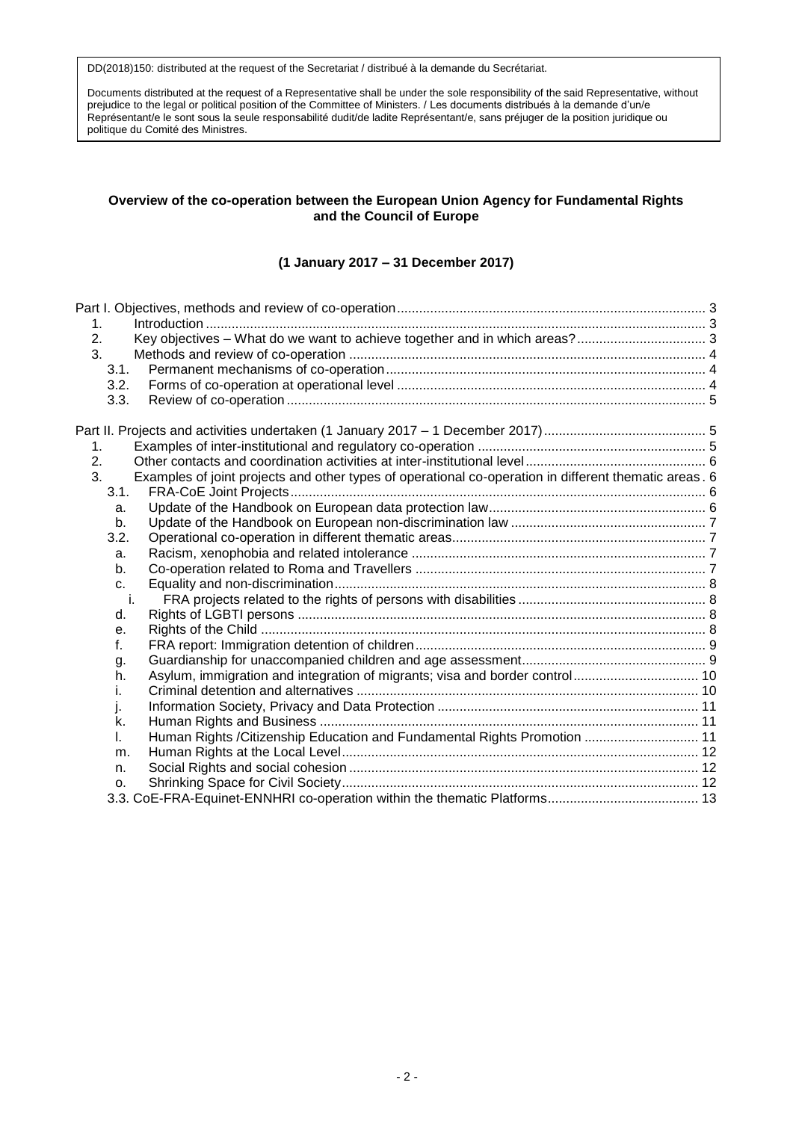Documents distributed at the request of a Representative shall be under the sole responsibility of the said Representative, without prejudice to the legal or political position of the Committee of Ministers. / Les documents distribués à la demande d'un/e Représentant/e le sont sous la seule responsabilité dudit/de ladite Représentant/e, sans préjuger de la position juridique ou politique du Comité des Ministres.

#### **Overview of the co-operation between the European Union Agency for Fundamental Rights and the Council of Europe**

### **(1 January 2017 – 31 December 2017)**

| 1 <sub>1</sub> |                                                                                                       |  |
|----------------|-------------------------------------------------------------------------------------------------------|--|
| 2.             |                                                                                                       |  |
| 3.             |                                                                                                       |  |
| 3.1.           |                                                                                                       |  |
| 3.2.           |                                                                                                       |  |
| 3.3.           |                                                                                                       |  |
|                |                                                                                                       |  |
| 1 <sub>1</sub> |                                                                                                       |  |
| 2.             |                                                                                                       |  |
| 3.             | Examples of joint projects and other types of operational co-operation in different thematic areas. 6 |  |
| 3.1.           |                                                                                                       |  |
| a.             |                                                                                                       |  |
| b <sub>1</sub> |                                                                                                       |  |
| 3.2.           |                                                                                                       |  |
| a.             |                                                                                                       |  |
| b <sub>1</sub> |                                                                                                       |  |
| C <sub>1</sub> |                                                                                                       |  |
|                | i.                                                                                                    |  |
| d.             |                                                                                                       |  |
| e.             |                                                                                                       |  |
| f.             |                                                                                                       |  |
| g.             |                                                                                                       |  |
| h.             | Asylum, immigration and integration of migrants; visa and border control 10                           |  |
| L.             |                                                                                                       |  |
| Ŀ              |                                                                                                       |  |
| k.             |                                                                                                       |  |
| L.             | Human Rights / Citizenship Education and Fundamental Rights Promotion  11                             |  |
| m.             |                                                                                                       |  |
| n.             |                                                                                                       |  |
| 0.             |                                                                                                       |  |
|                |                                                                                                       |  |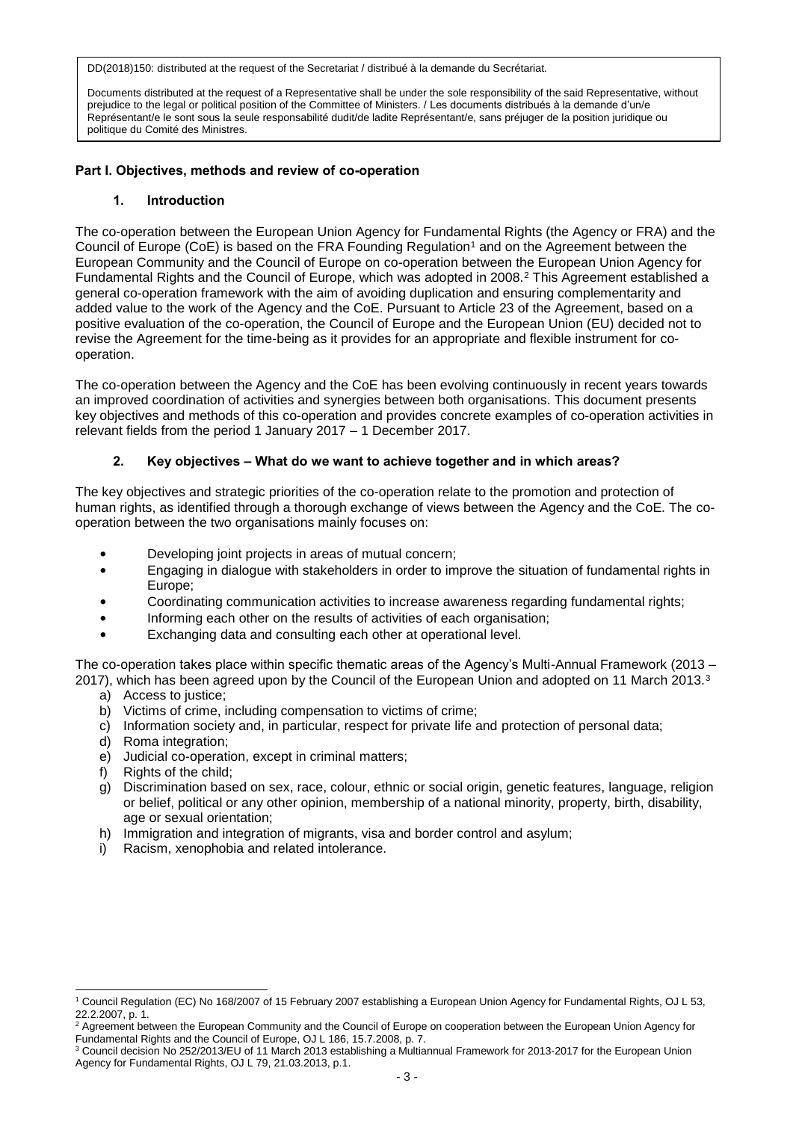Documents distributed at the request of a Representative shall be under the sole responsibility of the said Representative, without prejudice to the legal or political position of the Committee of Ministers. / Les documents distribués à la demande d'un/e Représentant/e le sont sous la seule responsabilité dudit/de ladite Représentant/e, sans préjuger de la position juridique ou politique du Comité des Ministres.

#### <span id="page-2-0"></span>**Part I. Objectives, methods and review of co-operation**

#### **1. Introduction**

<span id="page-2-1"></span>The co-operation between the European Union Agency for Fundamental Rights (the Agency or FRA) and the Council of Europe (CoE) is based on the FRA Founding Regulation<sup>1</sup> and on the Agreement between the European Community and the Council of Europe on co-operation between the European Union Agency for Fundamental Rights and the Council of Europe, which was adopted in 2008.<sup>2</sup> This Agreement established a general co-operation framework with the aim of avoiding duplication and ensuring complementarity and added value to the work of the Agency and the CoE. Pursuant to Article 23 of the Agreement, based on a positive evaluation of the co-operation, the Council of Europe and the European Union (EU) decided not to revise the Agreement for the time-being as it provides for an appropriate and flexible instrument for cooperation.

The co-operation between the Agency and the CoE has been evolving continuously in recent years towards an improved coordination of activities and synergies between both organisations. This document presents key objectives and methods of this co-operation and provides concrete examples of co-operation activities in relevant fields from the period 1 January 2017 – 1 December 2017.

#### **2. Key objectives – What do we want to achieve together and in which areas?**

<span id="page-2-2"></span>The key objectives and strategic priorities of the co-operation relate to the promotion and protection of human rights, as identified through a thorough exchange of views between the Agency and the CoE. The cooperation between the two organisations mainly focuses on:

- Developing joint projects in areas of mutual concern;
- Engaging in dialogue with stakeholders in order to improve the situation of fundamental rights in Europe;
- Coordinating communication activities to increase awareness regarding fundamental rights;
- Informing each other on the results of activities of each organisation;
- Exchanging data and consulting each other at operational level.

The co-operation takes place within specific thematic areas of the Agency's Multi-Annual Framework (2013 – 2017), which has been agreed upon by the Council of the European Union and adopted on 11 March 2013.<sup>3</sup>

- a) Access to justice:
- b) Victims of crime, including compensation to victims of crime;
- c) Information society and, in particular, respect for private life and protection of personal data;
- d) Roma integration;
- e) Judicial co-operation, except in criminal matters;
- f) Rights of the child;

-

- g) Discrimination based on sex, race, colour, ethnic or social origin, genetic features, language, religion or belief, political or any other opinion, membership of a national minority, property, birth, disability, age or sexual orientation;
- h) Immigration and integration of migrants, visa and border control and asylum;
- i) Racism, xenophobia and related intolerance.

<sup>1</sup> Council Regulation (EC) No 168/2007 of 15 February 2007 establishing a European Union Agency for Fundamental Rights, OJ L 53, 22.2.2007, p. 1.

<sup>&</sup>lt;sup>2</sup> Agreement between the European Community and the Council of Europe on cooperation between the European Union Agency for Fundamental Rights and the Council of Europe, OJ L 186, 15.7.2008, p. 7.

<sup>&</sup>lt;sup>3</sup> Council decision No 252/2013/EU of 11 March 2013 establishing a Multiannual Framework for 2013-2017 for the European Union Agency for Fundamental Rights, OJ L 79, 21.03.2013, p.1.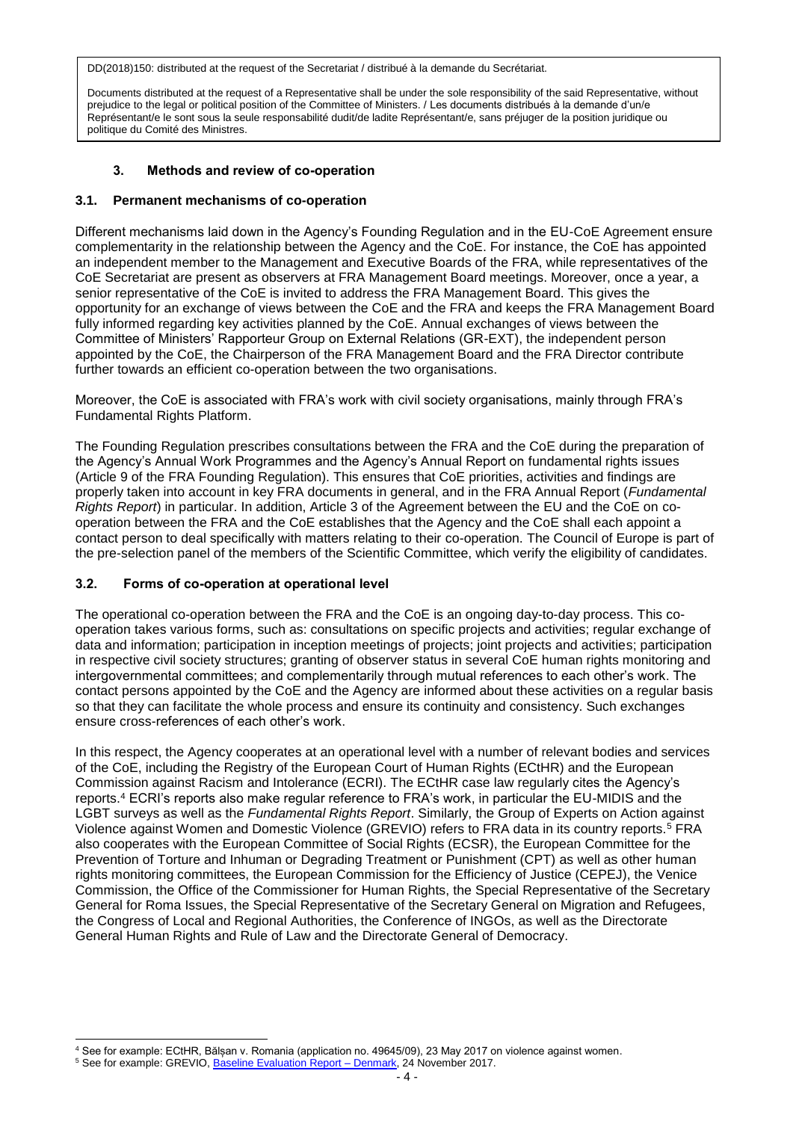Documents distributed at the request of a Representative shall be under the sole responsibility of the said Representative, without prejudice to the legal or political position of the Committee of Ministers. / Les documents distribués à la demande d'un/e Représentant/e le sont sous la seule responsabilité dudit/de ladite Représentant/e, sans préjuger de la position juridique ou politique du Comité des Ministres.

### **3. Methods and review of co-operation**

#### <span id="page-3-1"></span><span id="page-3-0"></span>**3.1. Permanent mechanisms of co-operation**

Different mechanisms laid down in the Agency's Founding Regulation and in the EU-CoE Agreement ensure complementarity in the relationship between the Agency and the CoE. For instance, the CoE has appointed an independent member to the Management and Executive Boards of the FRA, while representatives of the CoE Secretariat are present as observers at FRA Management Board meetings. Moreover, once a year, a senior representative of the CoE is invited to address the FRA Management Board. This gives the opportunity for an exchange of views between the CoE and the FRA and keeps the FRA Management Board fully informed regarding key activities planned by the CoE. Annual exchanges of views between the Committee of Ministers' Rapporteur Group on External Relations (GR-EXT), the independent person appointed by the CoE, the Chairperson of the FRA Management Board and the FRA Director contribute further towards an efficient co-operation between the two organisations.

Moreover, the CoE is associated with FRA's work with civil society organisations, mainly through FRA's Fundamental Rights Platform.

The Founding Regulation prescribes consultations between the FRA and the CoE during the preparation of the Agency's Annual Work Programmes and the Agency's Annual Report on fundamental rights issues (Article 9 of the FRA Founding Regulation). This ensures that CoE priorities, activities and findings are properly taken into account in key FRA documents in general, and in the FRA Annual Report (*Fundamental Rights Report*) in particular. In addition, Article 3 of the Agreement between the EU and the CoE on cooperation between the FRA and the CoE establishes that the Agency and the CoE shall each appoint a contact person to deal specifically with matters relating to their co-operation. The Council of Europe is part of the pre-selection panel of the members of the Scientific Committee, which verify the eligibility of candidates.

## <span id="page-3-2"></span>**3.2. Forms of co-operation at operational level**

The operational co-operation between the FRA and the CoE is an ongoing day-to-day process. This cooperation takes various forms, such as: consultations on specific projects and activities; regular exchange of data and information; participation in inception meetings of projects; joint projects and activities; participation in respective civil society structures; granting of observer status in several CoE human rights monitoring and intergovernmental committees; and complementarily through mutual references to each other's work. The contact persons appointed by the CoE and the Agency are informed about these activities on a regular basis so that they can facilitate the whole process and ensure its continuity and consistency. Such exchanges ensure cross-references of each other's work.

In this respect, the Agency cooperates at an operational level with a number of relevant bodies and services of the CoE, including the Registry of the European Court of Human Rights (ECtHR) and the European Commission against Racism and Intolerance (ECRI). The ECtHR case law regularly cites the Agency's reports.<sup>4</sup> ECRI's reports also make regular reference to FRA's work, in particular the EU-MIDIS and the LGBT surveys as well as the *Fundamental Rights Report*. Similarly, the Group of Experts on Action against Violence against Women and Domestic Violence (GREVIO) refers to FRA data in its country reports.<sup>5</sup> FRA also cooperates with the European Committee of Social Rights (ECSR), the European Committee for the Prevention of Torture and Inhuman or Degrading Treatment or Punishment (CPT) as well as other human rights monitoring committees, the European Commission for the Efficiency of Justice (CEPEJ), the Venice Commission, the Office of the Commissioner for Human Rights, the Special Representative of the Secretary General for Roma Issues, the Special Representative of the Secretary General on Migration and Refugees, the Congress of Local and Regional Authorities, the Conference of INGOs, as well as the Directorate General Human Rights and Rule of Law and the Directorate General of Democracy.

<sup>-</sup><sup>4</sup> See for example: ECtHR, Bălșan v. Romania (application no. 49645/09), 23 May 2017 on violence against women.

<sup>&</sup>lt;sup>5</sup> See for example: GREVIO, Baseline Evaluation Report - Denmark, 24 November 2017.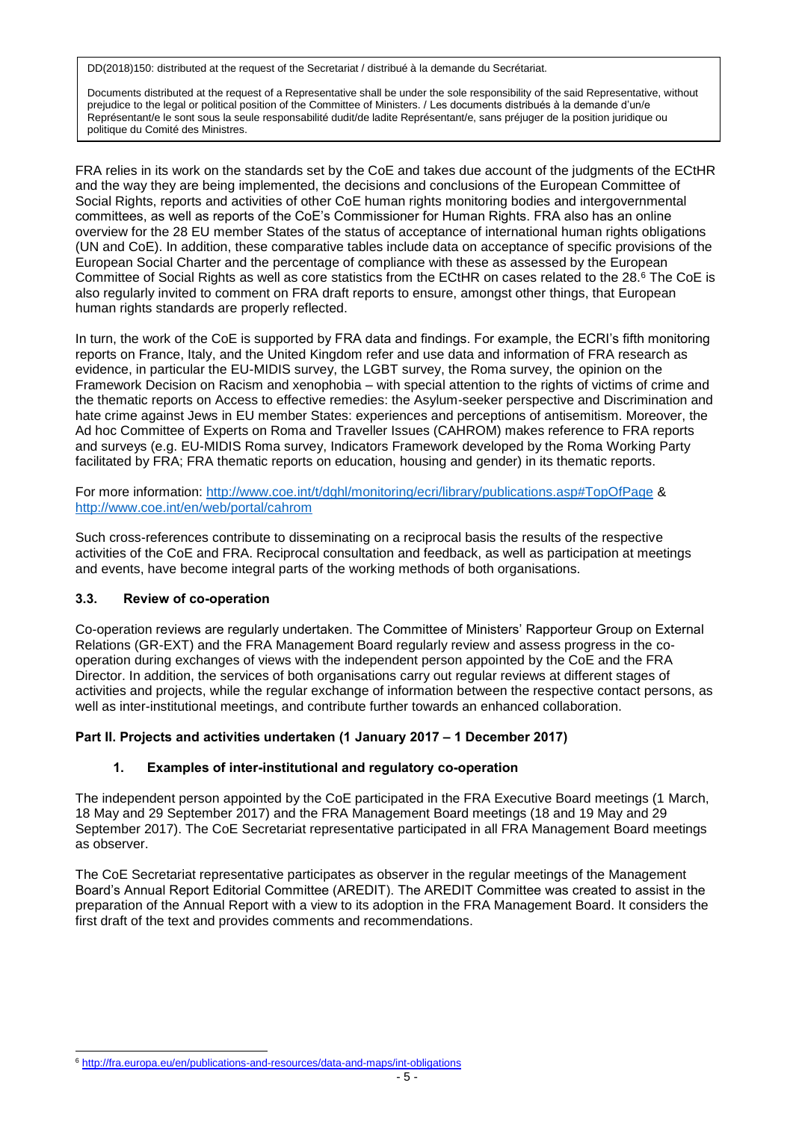Documents distributed at the request of a Representative shall be under the sole responsibility of the said Representative, without prejudice to the legal or political position of the Committee of Ministers. / Les documents distribués à la demande d'un/e Représentant/e le sont sous la seule responsabilité dudit/de ladite Représentant/e, sans préjuger de la position juridique ou politique du Comité des Ministres.

FRA relies in its work on the standards set by the CoE and takes due account of the judgments of the ECtHR and the way they are being implemented, the decisions and conclusions of the European Committee of Social Rights, reports and activities of other CoE human rights monitoring bodies and intergovernmental committees, as well as reports of the CoE's Commissioner for Human Rights. FRA also has an online overview for the 28 EU member States of the status of acceptance of international human rights obligations (UN and CoE). In addition, these comparative tables include data on acceptance of specific provisions of the European Social Charter and the percentage of compliance with these as assessed by the European Committee of Social Rights as well as core statistics from the ECtHR on cases related to the 28.<sup>6</sup> The CoE is also regularly invited to comment on FRA draft reports to ensure, amongst other things, that European human rights standards are properly reflected.

In turn, the work of the CoE is supported by FRA data and findings. For example, the ECRI's fifth monitoring reports on France, Italy, and the United Kingdom refer and use data and information of FRA research as evidence, in particular the EU-MIDIS survey, the LGBT survey, the Roma survey, the opinion on the Framework Decision on Racism and xenophobia – with special attention to the rights of victims of crime and the thematic reports on Access to effective remedies: the Asylum-seeker perspective and Discrimination and hate crime against Jews in EU member States: experiences and perceptions of antisemitism. Moreover, the Ad hoc Committee of Experts on Roma and Traveller Issues (CAHROM) makes reference to FRA reports and surveys (e.g. EU-MIDIS Roma survey, Indicators Framework developed by the Roma Working Party facilitated by FRA; FRA thematic reports on education, housing and gender) in its thematic reports.

For more information:<http://www.coe.int/t/dghl/monitoring/ecri/library/publications.asp#TopOfPage> & <http://www.coe.int/en/web/portal/cahrom>

Such cross-references contribute to disseminating on a reciprocal basis the results of the respective activities of the CoE and FRA. Reciprocal consultation and feedback, as well as participation at meetings and events, have become integral parts of the working methods of both organisations.

## <span id="page-4-0"></span>**3.3. Review of co-operation**

1

Co-operation reviews are regularly undertaken. The Committee of Ministers' Rapporteur Group on External Relations (GR-EXT) and the FRA Management Board regularly review and assess progress in the cooperation during exchanges of views with the independent person appointed by the CoE and the FRA Director. In addition, the services of both organisations carry out regular reviews at different stages of activities and projects, while the regular exchange of information between the respective contact persons, as well as inter-institutional meetings, and contribute further towards an enhanced collaboration.

## <span id="page-4-2"></span><span id="page-4-1"></span>**Part II. Projects and activities undertaken (1 January 2017 – 1 December 2017)**

## **1. Examples of inter-institutional and regulatory co-operation**

The independent person appointed by the CoE participated in the FRA Executive Board meetings (1 March, 18 May and 29 September 2017) and the FRA Management Board meetings (18 and 19 May and 29 September 2017). The CoE Secretariat representative participated in all FRA Management Board meetings as observer.

The CoE Secretariat representative participates as observer in the regular meetings of the Management Board's Annual Report Editorial Committee (AREDIT). The AREDIT Committee was created to assist in the preparation of the Annual Report with a view to its adoption in the FRA Management Board. It considers the first draft of the text and provides comments and recommendations.

<sup>6</sup> <http://fra.europa.eu/en/publications-and-resources/data-and-maps/int-obligations>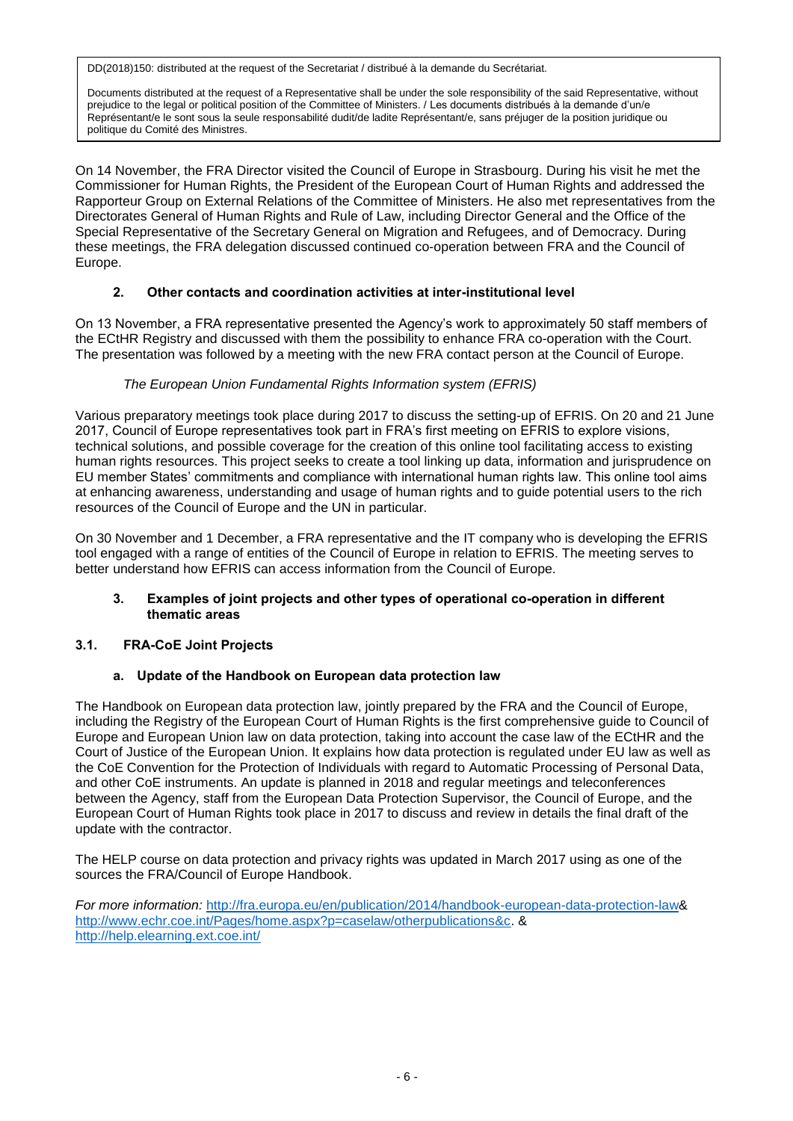Documents distributed at the request of a Representative shall be under the sole responsibility of the said Representative, without prejudice to the legal or political position of the Committee of Ministers. / Les documents distribués à la demande d'un/e Représentant/e le sont sous la seule responsabilité dudit/de ladite Représentant/e, sans préjuger de la position juridique ou politique du Comité des Ministres.

On 14 November, the FRA Director visited the Council of Europe in Strasbourg. During his visit he met the Commissioner for Human Rights, the President of the European Court of Human Rights and addressed the Rapporteur Group on External Relations of the Committee of Ministers. He also met representatives from the Directorates General of Human Rights and Rule of Law, including Director General and the Office of the Special Representative of the Secretary General on Migration and Refugees, and of Democracy. During these meetings, the FRA delegation discussed continued co-operation between FRA and the Council of Europe.

## **2. Other contacts and coordination activities at inter-institutional level**

<span id="page-5-0"></span>On 13 November, a FRA representative presented the Agency's work to approximately 50 staff members of the ECtHR Registry and discussed with them the possibility to enhance FRA co-operation with the Court. The presentation was followed by a meeting with the new FRA contact person at the Council of Europe.

## *The European Union Fundamental Rights Information system (EFRIS)*

Various preparatory meetings took place during 2017 to discuss the setting-up of EFRIS. On 20 and 21 June 2017, Council of Europe representatives took part in FRA's first meeting on EFRIS to explore visions, technical solutions, and possible coverage for the creation of this online tool facilitating access to existing human rights resources. This project seeks to create a tool linking up data, information and jurisprudence on EU member States' commitments and compliance with international human rights law. This online tool aims at enhancing awareness, understanding and usage of human rights and to guide potential users to the rich resources of the Council of Europe and the UN in particular.

On 30 November and 1 December, a FRA representative and the IT company who is developing the EFRIS tool engaged with a range of entities of the Council of Europe in relation to EFRIS. The meeting serves to better understand how EFRIS can access information from the Council of Europe.

## <span id="page-5-1"></span>**3. Examples of joint projects and other types of operational co-operation in different thematic areas**

## <span id="page-5-2"></span>**3.1. FRA-CoE Joint Projects**

## **a. Update of the Handbook on European data protection law**

<span id="page-5-3"></span>The Handbook on European data protection law, jointly prepared by the FRA and the Council of Europe, including the Registry of the European Court of Human Rights is the first comprehensive guide to Council of Europe and European Union law on data protection, taking into account the case law of the ECtHR and the Court of Justice of the European Union. It explains how data protection is regulated under EU law as well as the CoE Convention for the Protection of Individuals with regard to Automatic Processing of Personal Data, and other CoE instruments. An update is planned in 2018 and regular meetings and teleconferences between the Agency, staff from the European Data Protection Supervisor, the Council of Europe, and the European Court of Human Rights took place in 2017 to discuss and review in details the final draft of the update with the contractor.

The HELP course on data protection and privacy rights was updated in March 2017 using as one of the sources the FRA/Council of Europe Handbook.

*For more information:* [http://fra.europa.eu/en/publication/2014/handbook-european-data-protection-law&](http://fra.europa.eu/en/publication/2014/handbook-european-data-protection-law) [http://www.echr.coe.int/Pages/home.aspx?p=caselaw/otherpublications&c.](http://www.echr.coe.int/Pages/home.aspx?p=caselaw/otherpublications&c) & <http://help.elearning.ext.coe.int/>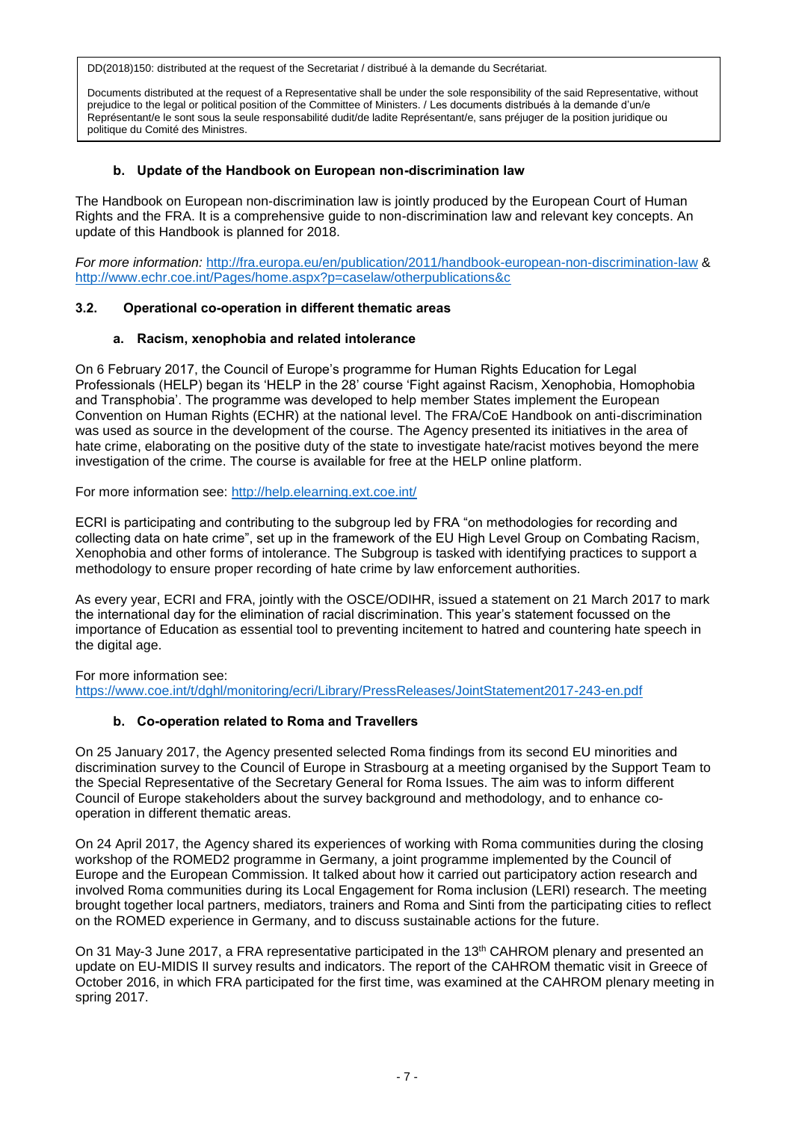Documents distributed at the request of a Representative shall be under the sole responsibility of the said Representative, without prejudice to the legal or political position of the Committee of Ministers. / Les documents distribués à la demande d'un/e Représentant/e le sont sous la seule responsabilité dudit/de ladite Représentant/e, sans préjuger de la position juridique ou politique du Comité des Ministres.

#### **b. Update of the Handbook on European non-discrimination law**

<span id="page-6-0"></span>The Handbook on European non-discrimination law is jointly produced by the European Court of Human Rights and the FRA. It is a comprehensive guide to non-discrimination law and relevant key concepts. An update of this Handbook is planned for 2018.

*For more information:* <http://fra.europa.eu/en/publication/2011/handbook-european-non-discrimination-law> & <http://www.echr.coe.int/Pages/home.aspx?p=caselaw/otherpublications&c>

#### <span id="page-6-2"></span><span id="page-6-1"></span>**3.2. Operational co-operation in different thematic areas**

#### **a. Racism, xenophobia and related intolerance**

On 6 February 2017, the Council of Europe's programme for Human Rights Education for Legal Professionals (HELP) began its 'HELP in the 28' course 'Fight against Racism, Xenophobia, Homophobia and Transphobia'. The programme was developed to help member States implement the European Convention on Human Rights (ECHR) at the national level. The FRA/CoE Handbook on anti-discrimination was used as source in the development of the course. The Agency presented its initiatives in the area of hate crime, elaborating on the positive duty of the state to investigate hate/racist motives beyond the mere investigation of the crime. The course is available for free at the HELP online platform.

For more information see:<http://help.elearning.ext.coe.int/>

ECRI is participating and contributing to the subgroup led by FRA "on methodologies for recording and collecting data on hate crime", set up in the framework of the EU High Level Group on Combating Racism, Xenophobia and other forms of intolerance. The Subgroup is tasked with identifying practices to support a methodology to ensure proper recording of hate crime by law enforcement authorities.

As every year, ECRI and FRA, jointly with the OSCE/ODIHR, issued a statement on 21 March 2017 to mark the international day for the elimination of racial discrimination. This year's statement focussed on the importance of Education as essential tool to preventing incitement to hatred and countering hate speech in the digital age.

For more information see: <https://www.coe.int/t/dghl/monitoring/ecri/Library/PressReleases/JointStatement2017-243-en.pdf>

#### **b. Co-operation related to Roma and Travellers**

<span id="page-6-3"></span>On 25 January 2017, the Agency presented selected Roma findings from its second EU minorities and discrimination survey to the Council of Europe in Strasbourg at a meeting organised by the Support Team to the Special Representative of the Secretary General for Roma Issues. The aim was to inform different Council of Europe stakeholders about the survey background and methodology, and to enhance cooperation in different thematic areas.

On 24 April 2017, the Agency shared its experiences of working with Roma communities during the closing workshop of the ROMED2 programme in Germany, a joint programme implemented by the Council of Europe and the European Commission. It talked about how it carried out participatory action research and involved Roma communities during its Local Engagement for Roma inclusion (LERI) research. The meeting brought together local partners, mediators, trainers and Roma and Sinti from the participating cities to reflect on the ROMED experience in Germany, and to discuss sustainable actions for the future.

On 31 May-3 June 2017, a FRA representative participated in the 13<sup>th</sup> CAHROM plenary and presented an update on EU-MIDIS II survey results and indicators. The report of the CAHROM thematic visit in Greece of October 2016, in which FRA participated for the first time, was examined at the CAHROM plenary meeting in spring 2017.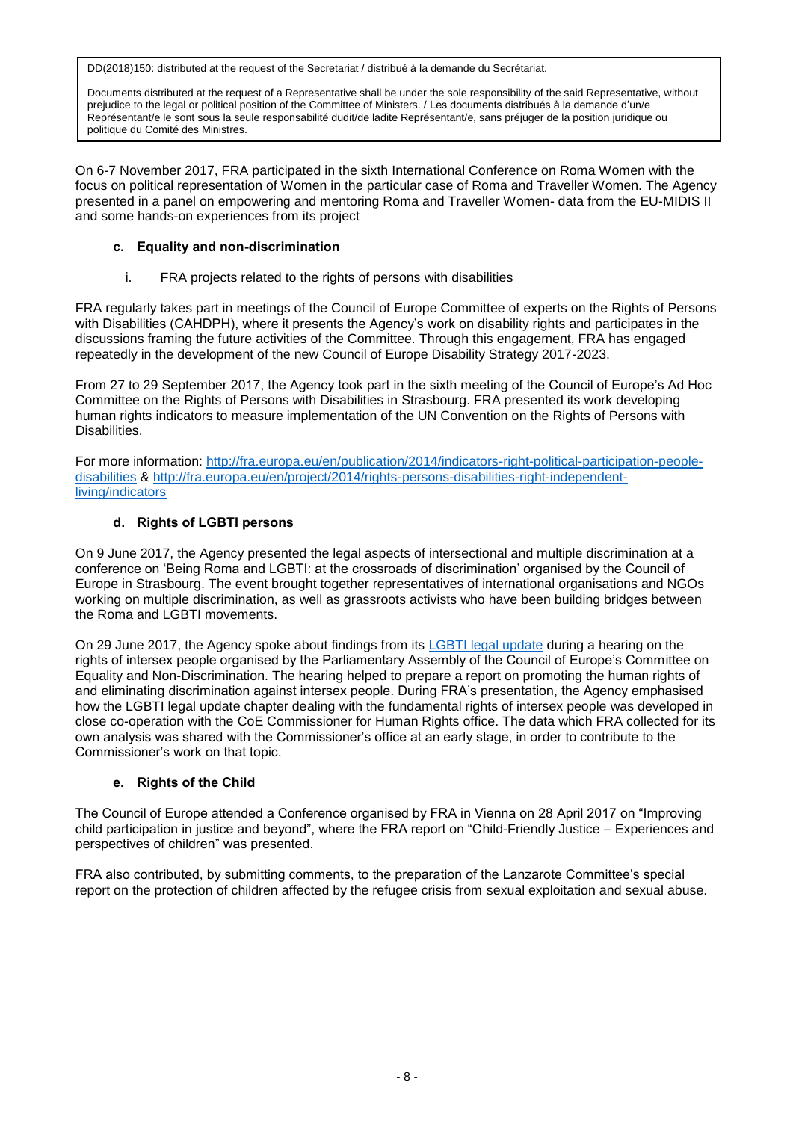Documents distributed at the request of a Representative shall be under the sole responsibility of the said Representative, without prejudice to the legal or political position of the Committee of Ministers. / Les documents distribués à la demande d'un/e Représentant/e le sont sous la seule responsabilité dudit/de ladite Représentant/e, sans préjuger de la position juridique ou politique du Comité des Ministres.

On 6-7 November 2017, FRA participated in the sixth International Conference on Roma Women with the focus on political representation of Women in the particular case of Roma and Traveller Women. The Agency presented in a panel on empowering and mentoring Roma and Traveller Women- data from the EU-MIDIS II and some hands-on experiences from its project

## <span id="page-7-0"></span>**c. Equality and non-discrimination**

i. FRA projects related to the rights of persons with disabilities

<span id="page-7-1"></span>FRA regularly takes part in meetings of the Council of Europe Committee of experts on the Rights of Persons with Disabilities (CAHDPH), where it presents the Agency's work on disability rights and participates in the discussions framing the future activities of the Committee. Through this engagement, FRA has engaged repeatedly in the development of the new Council of Europe Disability Strategy 2017-2023.

From 27 to 29 September 2017, the Agency took part in the sixth meeting of the Council of Europe's Ad Hoc Committee on the Rights of Persons with Disabilities in Strasbourg. FRA presented its work developing human rights indicators to measure implementation of the UN Convention on the Rights of Persons with Disabilities.

For more information: [http://fra.europa.eu/en/publication/2014/indicators-right-political-participation-people](http://fra.europa.eu/en/publication/2014/indicators-right-political-participation-people-disabilities)[disabilities](http://fra.europa.eu/en/publication/2014/indicators-right-political-participation-people-disabilities) & [http://fra.europa.eu/en/project/2014/rights-persons-disabilities-right-independent](http://fra.europa.eu/en/project/2014/rights-persons-disabilities-right-independent-living/indicators)[living/indicators](http://fra.europa.eu/en/project/2014/rights-persons-disabilities-right-independent-living/indicators)

# **d. Rights of LGBTI persons**

<span id="page-7-2"></span>On 9 June 2017, the Agency presented the legal aspects of intersectional and multiple discrimination at a conference on 'Being Roma and LGBTI: at the crossroads of discrimination' organised by the Council of Europe in Strasbourg. The event brought together representatives of international organisations and NGOs working on multiple discrimination, as well as grassroots activists who have been building bridges between the Roma and LGBTI movements.

On 29 June 2017, the Agency spoke about findings from its [LGBTI legal update](http://fra.europa.eu/en/publication/2015/lgbti-comparative-legal-update-2015) during a hearing on the rights of intersex people organised by the Parliamentary Assembly of the Council of Europe's Committee on Equality and Non-Discrimination. The hearing helped to prepare a report on promoting the human rights of and eliminating discrimination against intersex people. During FRA's presentation, the Agency emphasised how the LGBTI legal update chapter dealing with the fundamental rights of intersex people was developed in close co-operation with the CoE Commissioner for Human Rights office. The data which FRA collected for its own analysis was shared with the Commissioner's office at an early stage, in order to contribute to the Commissioner's work on that topic.

## **e. Rights of the Child**

<span id="page-7-3"></span>The Council of Europe attended a Conference organised by FRA in Vienna on 28 April 2017 on "Improving child participation in justice and beyond", where the FRA report on "Child-Friendly Justice – Experiences and perspectives of children" was presented.

FRA also contributed, by submitting comments, to the preparation of the Lanzarote Committee's special report on the protection of children affected by the refugee crisis from sexual exploitation and sexual abuse.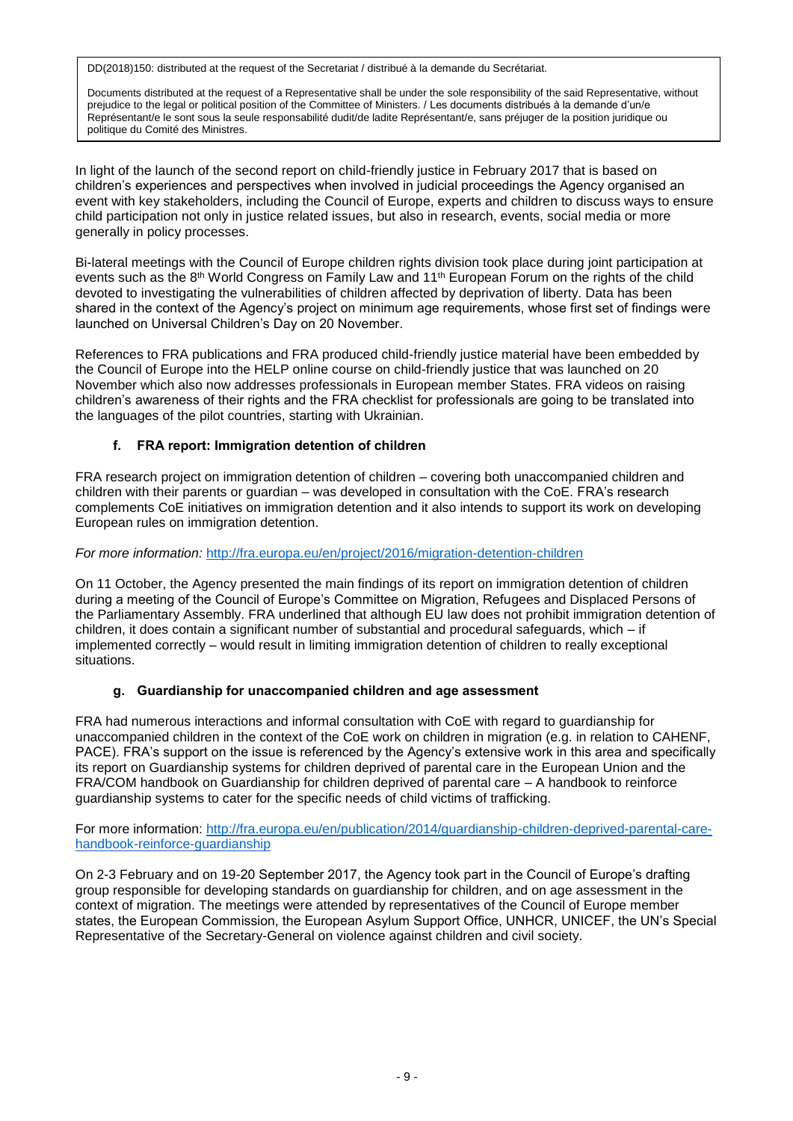Documents distributed at the request of a Representative shall be under the sole responsibility of the said Representative, without prejudice to the legal or political position of the Committee of Ministers. / Les documents distribués à la demande d'un/e Représentant/e le sont sous la seule responsabilité dudit/de ladite Représentant/e, sans préjuger de la position juridique ou politique du Comité des Ministres.

In light of the launch of the second report on child-friendly justice in February 2017 that is based on children's experiences and perspectives when involved in judicial proceedings the Agency organised an event with key stakeholders, including the Council of Europe, experts and children to discuss ways to ensure child participation not only in justice related issues, but also in research, events, social media or more generally in policy processes.

Bi-lateral meetings with the Council of Europe children rights division took place during joint participation at events such as the 8<sup>th</sup> World Congress on Family Law and 11<sup>th</sup> European Forum on the rights of the child devoted to investigating the vulnerabilities of children affected by deprivation of liberty. Data has been shared in the context of the Agency's project on minimum age requirements, whose first set of findings were launched on Universal Children's Day on 20 November.

References to FRA publications and FRA produced child-friendly justice material have been embedded by the Council of Europe into the HELP online course on child-friendly justice that was launched on 20 November which also now addresses professionals in European member States. FRA videos on raising children's awareness of their rights and the FRA checklist for professionals are going to be translated into the languages of the pilot countries, starting with Ukrainian.

# **f. FRA report: Immigration detention of children**

<span id="page-8-0"></span>FRA research project on immigration detention of children – covering both unaccompanied children and children with their parents or guardian – was developed in consultation with the CoE. FRA's research complements CoE initiatives on immigration detention and it also intends to support its work on developing European rules on immigration detention.

### *For more information:* <http://fra.europa.eu/en/project/2016/migration-detention-children>

On 11 October, the Agency presented the main findings of its report on immigration detention of children during a meeting of the Council of Europe's Committee on Migration, Refugees and Displaced Persons of the Parliamentary Assembly. FRA underlined that although EU law does not prohibit immigration detention of children, it does contain a significant number of substantial and procedural safeguards, which – if implemented correctly – would result in limiting immigration detention of children to really exceptional situations.

## **g. Guardianship for unaccompanied children and age assessment**

<span id="page-8-1"></span>FRA had numerous interactions and informal consultation with CoE with regard to guardianship for unaccompanied children in the context of the CoE work on children in migration (e.g. in relation to CAHENF, PACE). FRA's support on the issue is referenced by the Agency's extensive work in this area and specifically its report on Guardianship systems for children deprived of parental care in the European Union and the FRA/COM handbook on Guardianship for children deprived of parental care – A handbook to reinforce guardianship systems to cater for the specific needs of child victims of trafficking.

For more information: [http://fra.europa.eu/en/publication/2014/guardianship-children-deprived-parental-care](http://fra.europa.eu/en/publication/2014/guardianship-children-deprived-parental-care-handbook-reinforce-guardianship)[handbook-reinforce-guardianship](http://fra.europa.eu/en/publication/2014/guardianship-children-deprived-parental-care-handbook-reinforce-guardianship)

On 2-3 February and on 19-20 September 2017, the Agency took part in the Council of Europe's drafting group responsible for developing standards on guardianship for children, and on age assessment in the context of migration. The meetings were attended by representatives of the Council of Europe member states, the European Commission, the European Asylum Support Office, UNHCR, UNICEF, the UN's Special Representative of the Secretary-General on violence against children and civil society.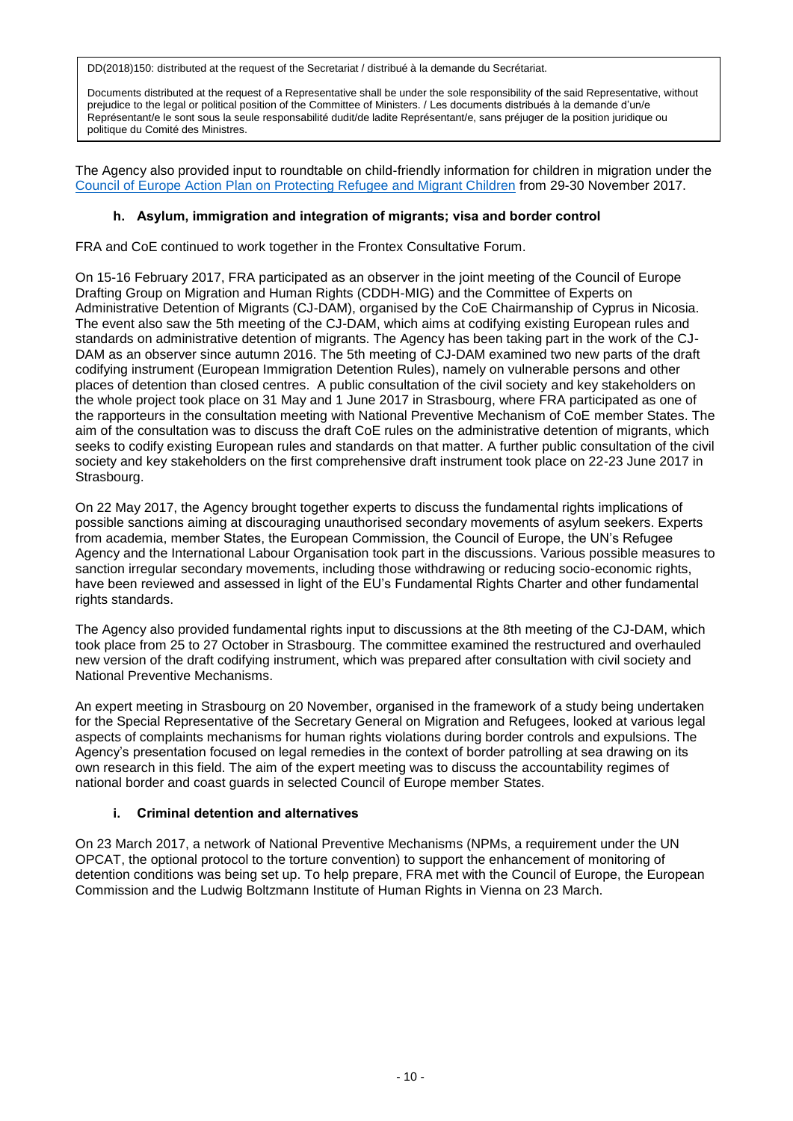Documents distributed at the request of a Representative shall be under the sole responsibility of the said Representative, without prejudice to the legal or political position of the Committee of Ministers. / Les documents distribués à la demande d'un/e Représentant/e le sont sous la seule responsabilité dudit/de ladite Représentant/e, sans préjuger de la position juridique ou politique du Comité des Ministres.

The Agency also provided input to roundtable on child-friendly information for children in migration under the [Council of Europe Action Plan on Protecting Refugee and Migrant Children](https://www.coe.int/en/web/children/-/council-of-europe-action-plan-on-protecting-refugee-and-migrant-children-adopted) from 29-30 November 2017.

## **h. Asylum, immigration and integration of migrants; visa and border control**

<span id="page-9-0"></span>FRA and CoE continued to work together in the Frontex Consultative Forum.

On 15-16 February 2017, FRA participated as an observer in the joint meeting of the Council of Europe Drafting Group on Migration and Human Rights (CDDH-MIG) and the Committee of Experts on Administrative Detention of Migrants (CJ-DAM), organised by the CoE Chairmanship of Cyprus in Nicosia. The event also saw the 5th meeting of the CJ-DAM, which aims at codifying existing European rules and standards on administrative detention of migrants. The Agency has been taking part in the work of the CJ-DAM as an observer since autumn 2016. The 5th meeting of CJ-DAM examined two new parts of the draft codifying instrument (European Immigration Detention Rules), namely on vulnerable persons and other places of detention than closed centres. A public consultation of the civil society and key stakeholders on the whole project took place on 31 May and 1 June 2017 in Strasbourg, where FRA participated as one of the rapporteurs in the consultation meeting with National Preventive Mechanism of CoE member States. The aim of the consultation was to discuss the draft CoE rules on the administrative detention of migrants, which seeks to codify existing European rules and standards on that matter. A further public consultation of the civil society and key stakeholders on the first comprehensive draft instrument took place on 22-23 June 2017 in Strasbourg.

On 22 May 2017, the Agency brought together experts to discuss the fundamental rights implications of possible sanctions aiming at discouraging unauthorised secondary movements of asylum seekers. Experts from academia, member States, the European Commission, the Council of Europe, the UN's Refugee Agency and the International Labour Organisation took part in the discussions. Various possible measures to sanction irregular secondary movements, including those withdrawing or reducing socio-economic rights, have been reviewed and assessed in light of the EU's Fundamental Rights Charter and other fundamental rights standards.

The Agency also provided fundamental rights input to discussions at the 8th meeting of the CJ-DAM, which took place from 25 to 27 October in Strasbourg. The committee examined the restructured and overhauled new version of the draft codifying instrument, which was prepared after consultation with civil society and National Preventive Mechanisms.

An expert meeting in Strasbourg on 20 November, organised in the framework of a study being undertaken for the Special Representative of the Secretary General on Migration and Refugees, looked at various legal aspects of complaints mechanisms for human rights violations during border controls and expulsions. The Agency's presentation focused on legal remedies in the context of border patrolling at sea drawing on its own research in this field. The aim of the expert meeting was to discuss the accountability regimes of national border and coast guards in selected Council of Europe member States.

## **i. Criminal detention and alternatives**

<span id="page-9-1"></span>On 23 March 2017, a network of National Preventive Mechanisms (NPMs, a requirement under the UN OPCAT, the optional protocol to the torture convention) to support the enhancement of monitoring of detention conditions was being set up. To help prepare, FRA met with the Council of Europe, the European Commission and the Ludwig Boltzmann Institute of Human Rights in Vienna on 23 March.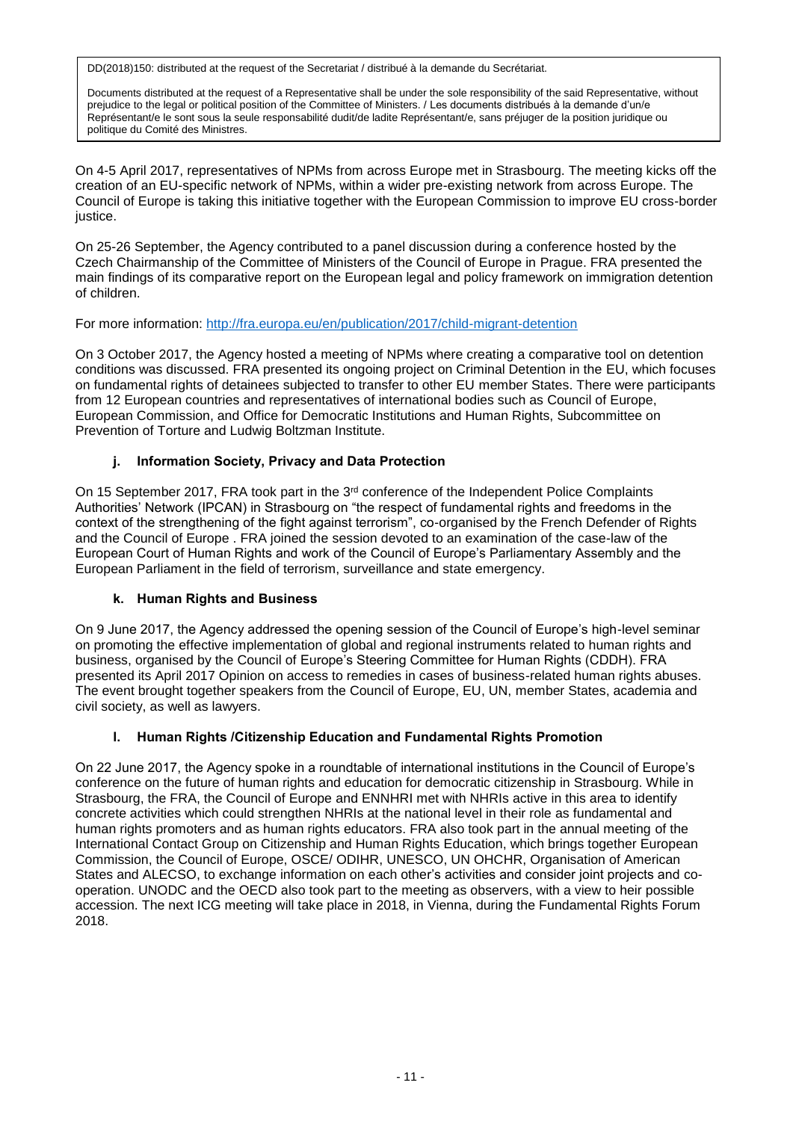Documents distributed at the request of a Representative shall be under the sole responsibility of the said Representative, without prejudice to the legal or political position of the Committee of Ministers. / Les documents distribués à la demande d'un/e Représentant/e le sont sous la seule responsabilité dudit/de ladite Représentant/e, sans préjuger de la position juridique ou politique du Comité des Ministres.

On 4-5 April 2017, representatives of NPMs from across Europe met in Strasbourg. The meeting kicks off the creation of an EU-specific network of NPMs, within a wider pre-existing network from across Europe. The Council of Europe is taking this initiative together with the European Commission to improve EU cross-border justice.

On 25-26 September, the Agency contributed to a panel discussion during a conference hosted by the Czech Chairmanship of the Committee of Ministers of the Council of Europe in Prague. FRA presented the main findings of its comparative report on the European legal and policy framework on immigration detention of children.

For more information:<http://fra.europa.eu/en/publication/2017/child-migrant-detention>

On 3 October 2017, the Agency hosted a meeting of NPMs where creating a comparative tool on detention conditions was discussed. FRA presented its ongoing project on Criminal Detention in the EU, which focuses on fundamental rights of detainees subjected to transfer to other EU member States. There were participants from 12 European countries and representatives of international bodies such as Council of Europe, European Commission, and Office for Democratic Institutions and Human Rights, Subcommittee on Prevention of Torture and Ludwig Boltzman Institute.

# **j. Information Society, Privacy and Data Protection**

<span id="page-10-0"></span>On 15 September 2017, FRA took part in the 3<sup>rd</sup> conference of the Independent Police Complaints Authorities' Network (IPCAN) in Strasbourg on "the respect of fundamental rights and freedoms in the context of the strengthening of the fight against terrorism", co-organised by the French Defender of Rights and the Council of Europe . FRA joined the session devoted to an examination of the case-law of the European Court of Human Rights and work of the Council of Europe's Parliamentary Assembly and the European Parliament in the field of terrorism, surveillance and state emergency.

## **k. Human Rights and Business**

<span id="page-10-1"></span>On 9 June 2017, the Agency addressed the opening session of the Council of Europe's high-level seminar on promoting the effective implementation of global and regional instruments related to human rights and business, organised by the Council of Europe's Steering Committee for Human Rights (CDDH). FRA presented its April 2017 Opinion on access to remedies in cases of business-related human rights abuses. The event brought together speakers from the Council of Europe, EU, UN, member States, academia and civil society, as well as lawyers.

# **l. Human Rights /Citizenship Education and Fundamental Rights Promotion**

<span id="page-10-2"></span>On 22 June 2017, the Agency spoke in a roundtable of international institutions in the Council of Europe's conference on the future of human rights and education for democratic citizenship in Strasbourg. While in Strasbourg, the FRA, the Council of Europe and ENNHRI met with NHRIs active in this area to identify concrete activities which could strengthen NHRIs at the national level in their role as fundamental and human rights promoters and as human rights educators. FRA also took part in the annual meeting of the International Contact Group on Citizenship and Human Rights Education, which brings together European Commission, the Council of Europe, OSCE/ ODIHR, UNESCO, UN OHCHR, Organisation of American States and ALECSO, to exchange information on each other's activities and consider joint projects and cooperation. UNODC and the OECD also took part to the meeting as observers, with a view to heir possible accession. The next ICG meeting will take place in 2018, in Vienna, during the Fundamental Rights Forum 2018.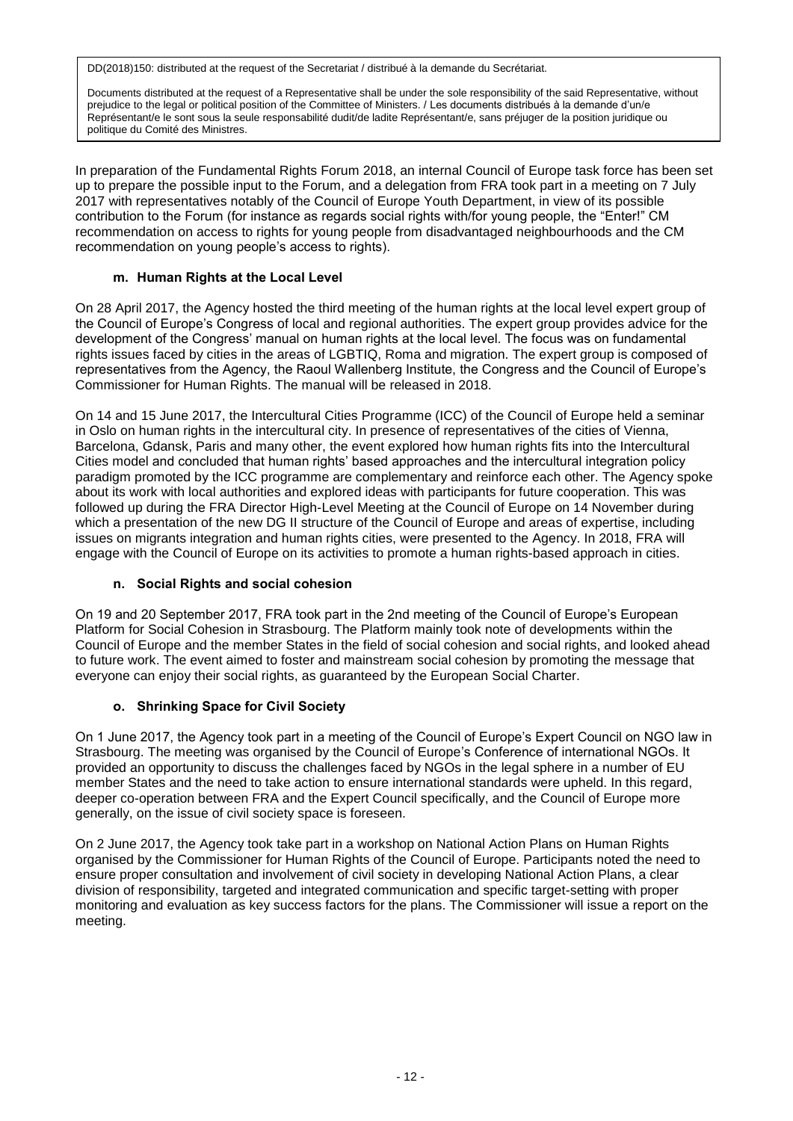Documents distributed at the request of a Representative shall be under the sole responsibility of the said Representative, without prejudice to the legal or political position of the Committee of Ministers. / Les documents distribués à la demande d'un/e Représentant/e le sont sous la seule responsabilité dudit/de ladite Représentant/e, sans préjuger de la position juridique ou politique du Comité des Ministres.

In preparation of the Fundamental Rights Forum 2018, an internal Council of Europe task force has been set up to prepare the possible input to the Forum, and a delegation from FRA took part in a meeting on 7 July 2017 with representatives notably of the Council of Europe Youth Department, in view of its possible contribution to the Forum (for instance as regards social rights with/for young people, the "Enter!" CM recommendation on access to rights for young people from disadvantaged neighbourhoods and the CM recommendation on young people's access to rights).

## **m. Human Rights at the Local Level**

<span id="page-11-0"></span>On 28 April 2017, the Agency hosted the third meeting of the human rights at the local level expert group of the Council of Europe's Congress of local and regional authorities. The expert group provides advice for the development of the Congress' manual on human rights at the local level. The focus was on fundamental rights issues faced by cities in the areas of LGBTIQ, Roma and migration. The expert group is composed of representatives from the Agency, the Raoul Wallenberg Institute, the Congress and the Council of Europe's Commissioner for Human Rights. The manual will be released in 2018.

On 14 and 15 June 2017, the Intercultural Cities Programme (ICC) of the Council of Europe held a seminar in Oslo on human rights in the intercultural city. In presence of representatives of the cities of Vienna, Barcelona, Gdansk, Paris and many other, the event explored how human rights fits into the Intercultural Cities model and concluded that human rights' based approaches and the intercultural integration policy paradigm promoted by the ICC programme are complementary and reinforce each other. The Agency spoke about its work with local authorities and explored ideas with participants for future cooperation. This was followed up during the FRA Director High-Level Meeting at the Council of Europe on 14 November during which a presentation of the new DG II structure of the Council of Europe and areas of expertise, including issues on migrants integration and human rights cities, were presented to the Agency. In 2018, FRA will engage with the Council of Europe on its activities to promote a human rights-based approach in cities.

## **n. Social Rights and social cohesion**

<span id="page-11-1"></span>On 19 and 20 September 2017, FRA took part in the 2nd meeting of the Council of Europe's European Platform for Social Cohesion in Strasbourg. The Platform mainly took note of developments within the Council of Europe and the member States in the field of social cohesion and social rights, and looked ahead to future work. The event aimed to foster and mainstream social cohesion by promoting the message that everyone can enjoy their social rights, as guaranteed by the European Social Charter.

# **o. Shrinking Space for Civil Society**

<span id="page-11-2"></span>On 1 June 2017, the Agency took part in a meeting of the Council of Europe's Expert Council on NGO law in Strasbourg. The meeting was organised by the Council of Europe's Conference of international NGOs. It provided an opportunity to discuss the challenges faced by NGOs in the legal sphere in a number of EU member States and the need to take action to ensure international standards were upheld. In this regard, deeper co-operation between FRA and the Expert Council specifically, and the Council of Europe more generally, on the issue of civil society space is foreseen.

<span id="page-11-3"></span>On 2 June 2017, the Agency took take part in a workshop on National Action Plans on Human Rights organised by the Commissioner for Human Rights of the Council of Europe. Participants noted the need to ensure proper consultation and involvement of civil society in developing National Action Plans, a clear division of responsibility, targeted and integrated communication and specific target-setting with proper monitoring and evaluation as key success factors for the plans. The Commissioner will issue a report on the meeting.